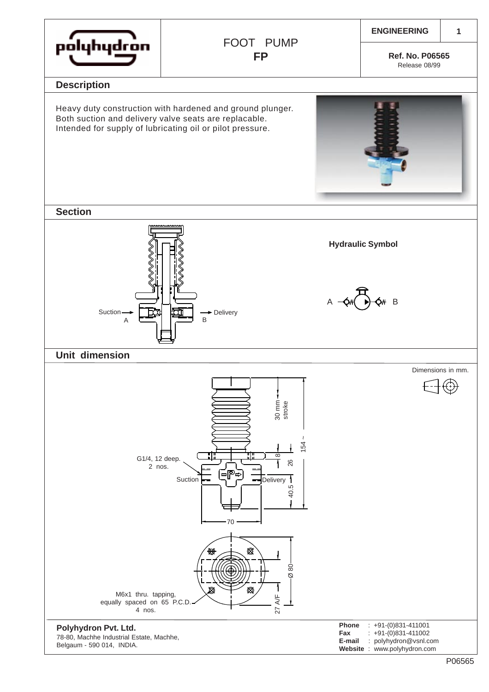